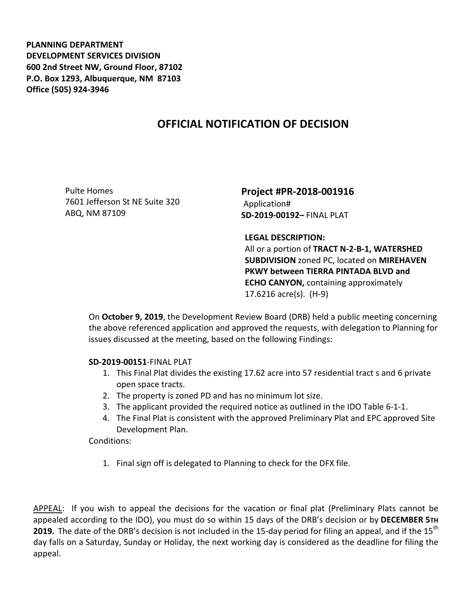**PLANNING DEPARTMENT DEVELOPMENT SERVICES DIVISION 600 2nd Street NW, Ground Floor, 87102 P.O. Box 1293, Albuquerque, NM 87103 Office (505) 924-3946** 

## **OFFICIAL NOTIFICATION OF DECISION**

Pulte Homes 7601 Jefferson St NE Suite 320 ABQ, NM 87109

**Project #PR-2018-001916** Application# **SD-2019-00192–** FINAL PLAT

**LEGAL DESCRIPTION:**

All or a portion of **TRACT N-2-B-1, WATERSHED SUBDIVISION** zoned PC, located on **MIREHAVEN PKWY between TIERRA PINTADA BLVD and ECHO CANYON,** containing approximately 17.6216 acre(s). (H-9)

On **October 9, 2019**, the Development Review Board (DRB) held a public meeting concerning the above referenced application and approved the requests, with delegation to Planning for issues discussed at the meeting, based on the following Findings:

## **SD-2019-00151**-FINAL PLAT

- 1. This Final Plat divides the existing 17.62 acre into 57 residential tract s and 6 private open space tracts.
- 2. The property is zoned PD and has no minimum lot size.
- 3. The applicant provided the required notice as outlined in the IDO Table 6-1-1.
- 4. The Final Plat is consistent with the approved Preliminary Plat and EPC approved Site Development Plan.

Conditions:

1. Final sign off is delegated to Planning to check for the DFX file.

APPEAL: If you wish to appeal the decisions for the vacation or final plat (Preliminary Plats cannot be appealed according to the IDO), you must do so within 15 days of the DRB's decision or by **DECEMBER 5TH 2019.** The date of the DRB's decision is not included in the 15-day period for filing an appeal, and if the 15<sup>th</sup> day falls on a Saturday, Sunday or Holiday, the next working day is considered as the deadline for filing the appeal.